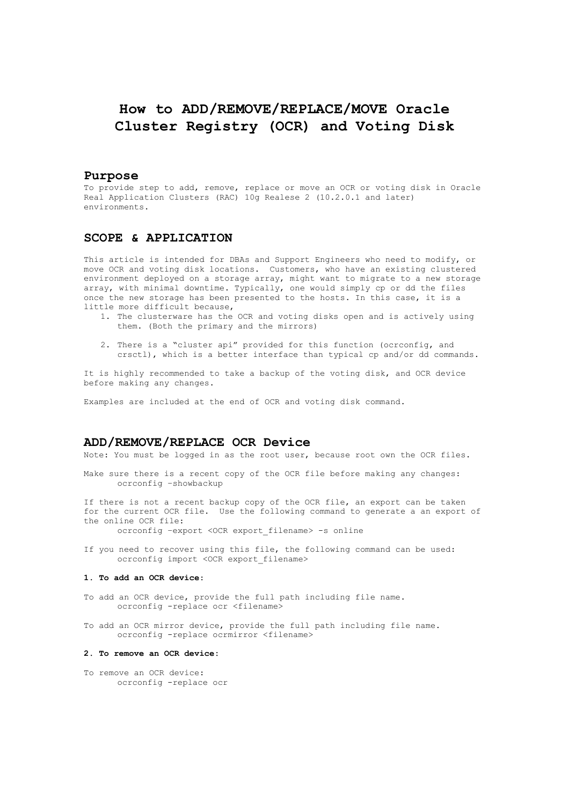# How to ADD/REMOVE/REPLACE/MOVE Oracle Cluster Registry (OCR) and Voting Disk

### Purpose

To provide step to add, remove, replace or move an OCR or voting disk in Oracle Real Application Clusters (RAC) 10g Realese 2 (10.2.0.1 and later) environments.

## SCOPE & APPLICATION

This article is intended for DBAs and Support Engineers who need to modify, or move OCR and voting disk locations. Customers, who have an existing clustered environment deployed on a storage array, might want to migrate to a new storage array, with minimal downtime. Typically, one would simply cp or dd the files once the new storage has been presented to the hosts. In this case, it is a little more difficult because,

- 1. The clusterware has the OCR and voting disks open and is actively using them. (Both the primary and the mirrors)
- 2. There is a "cluster api" provided for this function (ocrconfig, and crsctl), which is a better interface than typical cp and/or dd commands.

It is highly recommended to take a backup of the voting disk, and OCR device before making any changes.

Examples are included at the end of OCR and voting disk command.

# ADD/REMOVE/REPLACE OCR Device

Note: You must be logged in as the root user, because root own the OCR files.

Make sure there is a recent copy of the OCR file before making any changes: ocrconfig –showbackup

If there is not a recent backup copy of the OCR file, an export can be taken for the current OCR file. Use the following command to generate a an export of the online OCR file:

ocrconfig –export <OCR export\_filename> -s online

If you need to recover using this file, the following command can be used: ocrconfig import <OCR export\_filename>

#### 1. To add an OCR device:

- To add an OCR device, provide the full path including file name. ocrconfig -replace ocr <filename>
- To add an OCR mirror device, provide the full path including file name. ocrconfig -replace ocrmirror <filename>

#### 2. To remove an OCR device:

To remove an OCR device: ocrconfig -replace ocr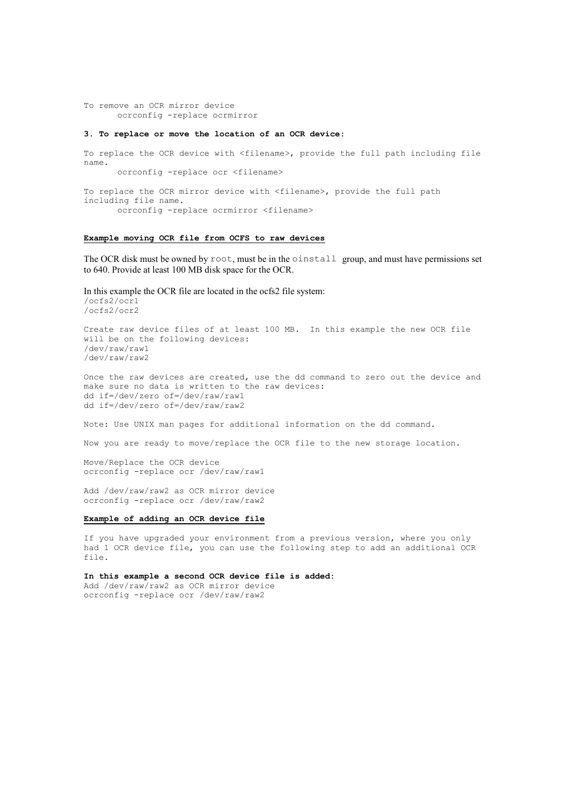To remove an OCR mirror device ocrconfig -replace ocrmirror

#### 3. To replace or move the location of an OCR device:

To replace the OCR device with <filename>, provide the full path including file name. ocrconfig -replace ocr <filename>

To replace the OCR mirror device with <filename>, provide the full path including file name. ocrconfig -replace ocrmirror <filename>

## Example moving OCR file from OCFS to raw devices

The OCR disk must be owned by root, must be in the oinstall group, and must have permissions set to 640. Provide at least 100 MB disk space for the OCR.

In this example the OCR file are located in the ocfs2 file system: /ocfs2/ocr1 /ocfs2/ocr2

Create raw device files of at least 100 MB. In this example the new OCR file will be on the following devices: /dev/raw/raw1 /dev/raw/raw2

Once the raw devices are created, use the dd command to zero out the device and make sure no data is written to the raw devices: dd if=/dev/zero of=/dev/raw/raw1 dd if=/dev/zero of=/dev/raw/raw2

Note: Use UNIX man pages for additional information on the dd command.

Now you are ready to move/replace the OCR file to the new storage location.

Move/Replace the OCR device ocrconfig -replace ocr /dev/raw/raw1

Add /dev/raw/raw2 as OCR mirror device ocrconfig -replace ocr /dev/raw/raw2

#### Example of adding an OCR device file

If you have upgraded your environment from a previous version, where you only had 1 OCR device file, you can use the following step to add an additional OCR file.

In this example a second OCR device file is added:

Add /dev/raw/raw2 as OCR mirror device ocrconfig -replace ocr /dev/raw/raw2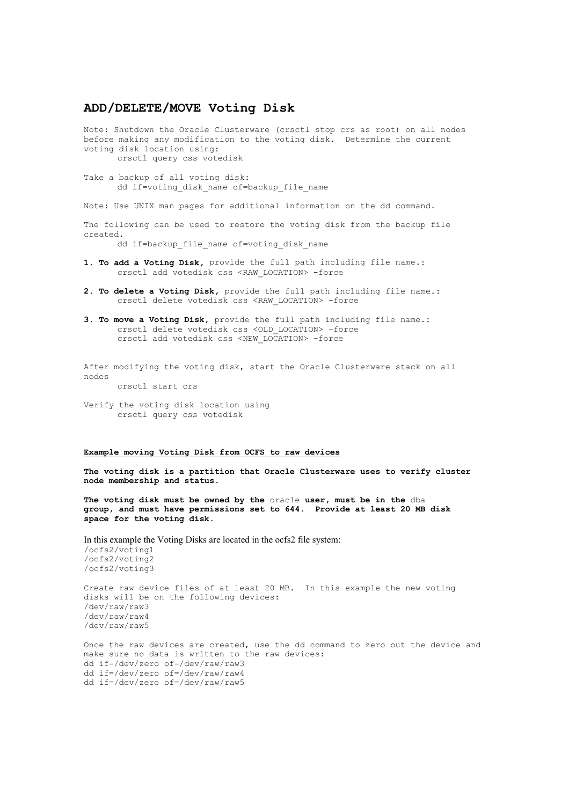# ADD/DELETE/MOVE Voting Disk

Note: Shutdown the Oracle Clusterware (crsctl stop crs as root) on all nodes before making any modification to the voting disk. Determine the current voting disk location using: crsctl query css votedisk

Take a backup of all voting disk: dd if=voting disk name of=backup file name

Note: Use UNIX man pages for additional information on the dd command.

The following can be used to restore the voting disk from the backup file created.

dd if=backup file name of=voting disk name

- 1. To add a Voting Disk, provide the full path including file name.: crsctl add votedisk css <RAW\_LOCATION> -force
- 2. To delete a Voting Disk, provide the full path including file name.: crsctl delete votedisk css <RAW\_LOCATION> -force
- 3. To move a Voting Disk, provide the full path including file name.: crsctl delete votedisk css <OLD\_LOCATION> –force crsctl add votedisk css <NEW\_LOCATION> –force

After modifying the voting disk, start the Oracle Clusterware stack on all nodes

crsctl start crs

Verify the voting disk location using crsctl query css votedisk

#### Example moving Voting Disk from OCFS to raw devices

The voting disk is a partition that Oracle Clusterware uses to verify cluster node membership and status.

The voting disk must be owned by the oracle user, must be in the dba group, and must have permissions set to 644. Provide at least 20 MB disk space for the voting disk.

In this example the Voting Disks are located in the ocfs2 file system:

/ocfs2/voting1 /ocfs2/voting2 /ocfs2/voting3

Create raw device files of at least 20 MB. In this example the new voting disks will be on the following devices: /dev/raw/raw3 /dev/raw/raw4 /dev/raw/raw5

Once the raw devices are created, use the dd command to zero out the device and make sure no data is written to the raw devices: dd if=/dev/zero of=/dev/raw/raw3 dd if=/dev/zero of=/dev/raw/raw4 dd if=/dev/zero of=/dev/raw/raw5